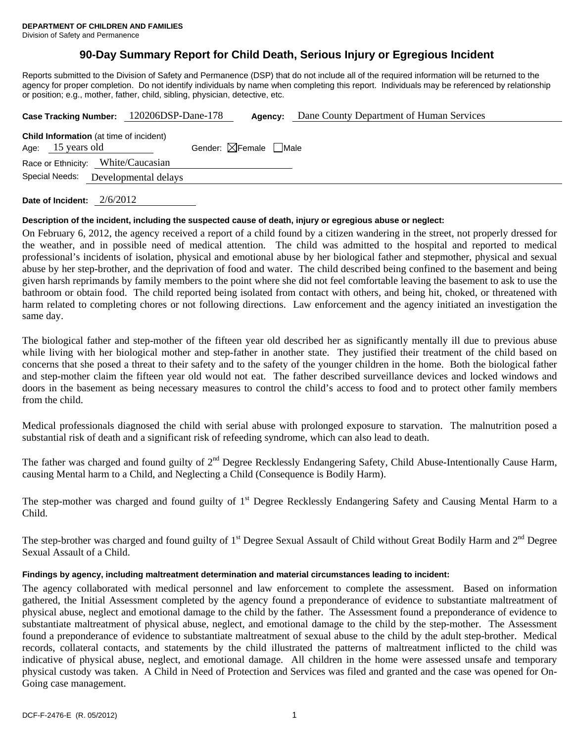# **90-Day Summary Report for Child Death, Serious Injury or Egregious Incident**

Reports submitted to the Division of Safety and Permanence (DSP) that do not include all of the required information will be returned to the agency for proper completion. Do not identify individuals by name when completing this report. Individuals may be referenced by relationship or position; e.g., mother, father, child, sibling, physician, detective, etc.

|                   | Case Tracking Number: 120206DSP-Dane-178       |                                        | Agency: | Dane County Department of Human Services |
|-------------------|------------------------------------------------|----------------------------------------|---------|------------------------------------------|
| Age: 15 years old | <b>Child Information</b> (at time of incident) | Gender: $\boxtimes$ Female $\Box$ Male |         |                                          |
|                   | Race or Ethnicity: White/Caucasian             |                                        |         |                                          |
| Special Needs:    | Developmental delays                           |                                        |         |                                          |
|                   |                                                |                                        |         |                                          |

**Date of Incident:** 2/6/2012

# **Description of the incident, including the suspected cause of death, injury or egregious abuse or neglect:**

On February 6, 2012, the agency received a report of a child found by a citizen wandering in the street, not properly dressed for the weather, and in possible need of medical attention. The child was admitted to the hospital and reported to medical professional's incidents of isolation, physical and emotional abuse by her biological father and stepmother, physical and sexual abuse by her step-brother, and the deprivation of food and water. The child described being confined to the basement and being given harsh reprimands by family members to the point where she did not feel comfortable leaving the basement to ask to use the bathroom or obtain food. The child reported being isolated from contact with others, and being hit, choked, or threatened with harm related to completing chores or not following directions. Law enforcement and the agency initiated an investigation the same day.

The biological father and step-mother of the fifteen year old described her as significantly mentally ill due to previous abuse while living with her biological mother and step-father in another state. They justified their treatment of the child based on concerns that she posed a threat to their safety and to the safety of the younger children in the home. Both the biological father and step-mother claim the fifteen year old would not eat. The father described surveillance devices and locked windows and doors in the basement as being necessary measures to control the child's access to food and to protect other family members from the child.

Medical professionals diagnosed the child with serial abuse with prolonged exposure to starvation. The malnutrition posed a substantial risk of death and a significant risk of refeeding syndrome, which can also lead to death.

The father was charged and found guilty of  $2<sup>nd</sup>$  Degree Recklessly Endangering Safety, Child Abuse-Intentionally Cause Harm, causing Mental harm to a Child, and Neglecting a Child (Consequence is Bodily Harm).

The step-mother was charged and found guilty of 1<sup>st</sup> Degree Recklessly Endangering Safety and Causing Mental Harm to a Child.

The step-brother was charged and found guilty of  $1<sup>st</sup>$  Degree Sexual Assault of Child without Great Bodily Harm and  $2<sup>nd</sup>$  Degree Sexual Assault of a Child.

# **Findings by agency, including maltreatment determination and material circumstances leading to incident:**

The agency collaborated with medical personnel and law enforcement to complete the assessment. Based on information gathered, the Initial Assessment completed by the agency found a preponderance of evidence to substantiate maltreatment of physical abuse, neglect and emotional damage to the child by the father. The Assessment found a preponderance of evidence to substantiate maltreatment of physical abuse, neglect, and emotional damage to the child by the step-mother. The Assessment found a preponderance of evidence to substantiate maltreatment of sexual abuse to the child by the adult step-brother. Medical records, collateral contacts, and statements by the child illustrated the patterns of maltreatment inflicted to the child was indicative of physical abuse, neglect, and emotional damage. All children in the home were assessed unsafe and temporary physical custody was taken. A Child in Need of Protection and Services was filed and granted and the case was opened for On-Going case management.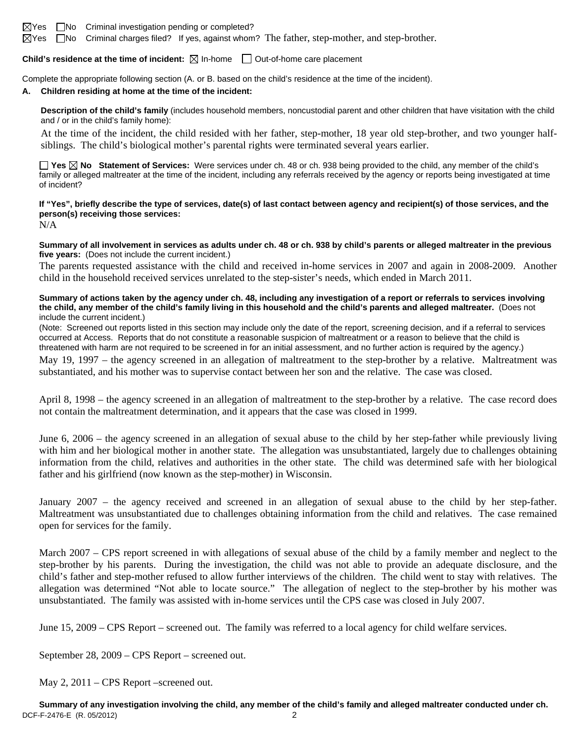$\boxtimes$ Yes  $\Box$ No Criminal investigation pending or completed?

 $\boxtimes$  Yes  $\Box$  No Criminal charges filed? If yes, against whom? The father, step-mother, and step-brother.

**Child's residence at the time of incident:**  $\boxtimes$  In-home  $\Box$  Out-of-home care placement

Complete the appropriate following section (A. or B. based on the child's residence at the time of the incident).

#### **A. Children residing at home at the time of the incident:**

**Description of the child's family** (includes household members, noncustodial parent and other children that have visitation with the child and / or in the child's family home):

 At the time of the incident, the child resided with her father, step-mother, 18 year old step-brother, and two younger halfsiblings. The child's biological mother's parental rights were terminated several years earlier.

**Yes No Statement of Services:** Were services under ch. 48 or ch. 938 being provided to the child, any member of the child's family or alleged maltreater at the time of the incident, including any referrals received by the agency or reports being investigated at time of incident?

**If "Yes", briefly describe the type of services, date(s) of last contact between agency and recipient(s) of those services, and the person(s) receiving those services:** 

N/A

**Summary of all involvement in services as adults under ch. 48 or ch. 938 by child's parents or alleged maltreater in the previous five years:** (Does not include the current incident.)

The parents requested assistance with the child and received in-home services in 2007 and again in 2008-2009. Another child in the household received services unrelated to the step-sister's needs, which ended in March 2011.

**Summary of actions taken by the agency under ch. 48, including any investigation of a report or referrals to services involving the child, any member of the child's family living in this household and the child's parents and alleged maltreater.** (Does not include the current incident.)

(Note: Screened out reports listed in this section may include only the date of the report, screening decision, and if a referral to services occurred at Access. Reports that do not constitute a reasonable suspicion of maltreatment or a reason to believe that the child is threatened with harm are not required to be screened in for an initial assessment, and no further action is required by the agency.)

May 19, 1997 – the agency screened in an allegation of maltreatment to the step-brother by a relative. Maltreatment was substantiated, and his mother was to supervise contact between her son and the relative. The case was closed.

April 8, 1998 – the agency screened in an allegation of maltreatment to the step-brother by a relative. The case record does not contain the maltreatment determination, and it appears that the case was closed in 1999.

June 6, 2006 – the agency screened in an allegation of sexual abuse to the child by her step-father while previously living with him and her biological mother in another state. The allegation was unsubstantiated, largely due to challenges obtaining information from the child, relatives and authorities in the other state. The child was determined safe with her biological father and his girlfriend (now known as the step-mother) in Wisconsin.

January 2007 – the agency received and screened in an allegation of sexual abuse to the child by her step-father. Maltreatment was unsubstantiated due to challenges obtaining information from the child and relatives. The case remained open for services for the family.

March 2007 – CPS report screened in with allegations of sexual abuse of the child by a family member and neglect to the step-brother by his parents. During the investigation, the child was not able to provide an adequate disclosure, and the child's father and step-mother refused to allow further interviews of the children. The child went to stay with relatives. The allegation was determined "Not able to locate source." The allegation of neglect to the step-brother by his mother was unsubstantiated. The family was assisted with in-home services until the CPS case was closed in July 2007.

June 15, 2009 – CPS Report – screened out. The family was referred to a local agency for child welfare services.

September 28, 2009 – CPS Report – screened out.

May 2, 2011 – CPS Report –screened out.

DCF-F-2476-E (R. 05/2012) 2 **Summary of any investigation involving the child, any member of the child's family and alleged maltreater conducted under ch.**